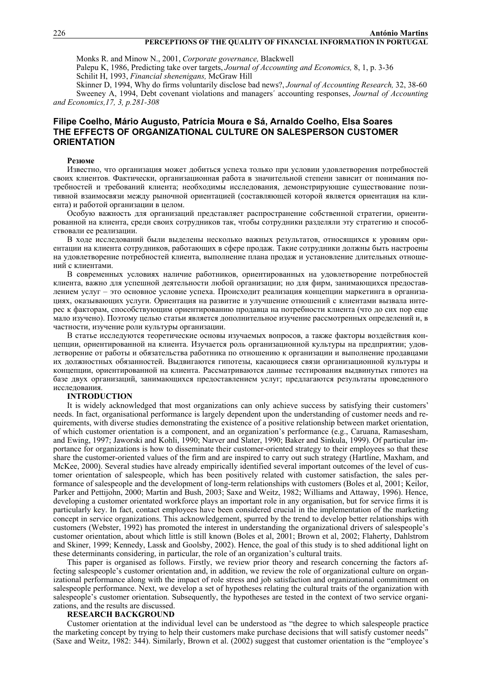## **PERCEPTIONS OF THE QUALITY OF FINANCIAL INFORMATION IN PORTUGAL**

Monks R. and Minow N., 2001, *Corporate governance,* Blackwell

Palepu K, 1986, Predicting take over targets, *Journal of Accounting and Economics,* 8, 1, p. 3-36 Schilit H, 1993, *Financial shenenigans,* McGraw Hill

Skinner D, 1994, Why do firms voluntarily disclose bad news?, *Journal of Accounting Research,* 32, 38-60 Sweeney A, 1994, Debt covenant violations and managers´ accounting responses, *Journal of Accounting and Economics,17, 3, p.281-308* 

# **Filipe Coelho, Mário Augusto, Patrícia Moura e Sá, Arnaldo Coelho, Elsa Soares THE EFFECTS OF ORGANIZATIONAL CULTURE ON SALESPERSON CUSTOMER ORIENTATION**

### **Резюме**

Известно, что организация может добиться успеха только при условии удовлетворения потребностей своих клиентов. Фактически, организационная работа в значительной степени зависит от понимания потребностей и требований клиента; необходимы исследования, демонстрирующие существование позитивной взаимосвязи между рыночной ориентацией (составляющей которой является ориентация на клиента) и работой организации в целом.

Особую важность для организаций представляет распространение собственной стратегии, ориентированной на клиента, среди своих сотрудников так, чтобы сотрудники разделяли эту стратегию и способствовали ее реализации.

В ходе исследований были выделены несколько важных результатов, относящихся к уровням ориентации на клиента сотрудников, работающих в сфере продаж. Такие сотрудники должны быть настроены на удовлетворение потребностей клиента, выполнение плана продаж и установление длительных отношений с клиентами.

В современных условиях наличие работников, ориентированных на удовлетворение потребностей клиента, важно для успешной деятельности любой организации; но для фирм, занимающихся предоставлением услуг – это основное условие успеха. Происходит реализация концепции маркетинга в организациях, оказывающих услуги. Ориентация на развитие и улучшение отношений с клиентами вызвала интерес к факторам, способствующим ориентированию продавца на потребности клиента (что до сих пор еще мало изучено). Поэтому целью статьи является дополнительное изучение рассмотренных определений и, в частности, изучение роли культуры организации.

В статье исследуются теоретические основы изучаемых вопросов, а также факторы воздействия концепции, ориентированной на клиента. Изучается роль организационной культуры на предприятии; удовлетворение от работы и обязательства работника по отношению к организации и выполнение продавцами их должностных обязанностей. Выдвигаются гипотезы, касающиеся связи организационной культуры и концепции, ориентированной на клиента. Рассматриваются данные тестирования выдвинутых гипотез на базе двух организаций, занимающихся предоставлением услуг; предлагаются результаты проведенного исследования.

#### **INTRODUCTION**

It is widely acknowledged that most organizations can only achieve success by satisfying their customers' needs. In fact, organisational performance is largely dependent upon the understanding of customer needs and requirements, with diverse studies demonstrating the existence of a positive relationship between market orientation, of which customer orientation is a component, and an organization's performance (e.g., Caruana, Ramasesham, and Ewing, 1997; Jaworski and Kohli, 1990; Narver and Slater, 1990; Baker and Sinkula, 1999). Of particular importance for organizations is how to disseminate their customer-oriented strategy to their employees so that these share the customer-oriented values of the firm and are inspired to carry out such strategy (Hartline, Maxham, and McKee, 2000). Several studies have already empirically identified several important outcomes of the level of customer orientation of salespeople, which has been positively related with customer satisfaction, the sales performance of salespeople and the development of long-term relationships with customers (Boles et al, 2001; Keilor, Parker and Pettijohn, 2000; Martin and Bush, 2003; Saxe and Weitz, 1982; Williams and Attaway, 1996). Hence, developing a customer orientated workforce plays an important role in any organisation, but for service firms it is particularly key. In fact, contact employees have been considered crucial in the implementation of the marketing concept in service organizations. This acknowledgement, spurred by the trend to develop better relationships with customers (Webster, 1992) has promoted the interest in understanding the organizational drivers of salespeople's customer orientation, about which little is still known (Boles et al, 2001; Brown et al, 2002; Flaherty, Dahlstrom and Skiner, 1999; Kennedy, Lassk and Goolsby, 2002). Hence, the goal of this study is to shed additional light on these determinants considering, in particular, the role of an organization's cultural traits.

This paper is organised as follows. Firstly, we review prior theory and research concerning the factors affecting salespeople's customer orientation and, in addition, we review the role of organizational culture on organizational performance along with the impact of role stress and job satisfaction and organizational commitment on salespeople performance. Next, we develop a set of hypotheses relating the cultural traits of the organization with salespeople's customer orientation. Subsequently, the hypotheses are tested in the context of two service organizations, and the results are discussed.

#### **RESEARCH BACKGROUND**

Customer orientation at the individual level can be understood as "the degree to which salespeople practice the marketing concept by trying to help their customers make purchase decisions that will satisfy customer needs" (Saxe and Weitz, 1982: 344). Similarly, Brown et al. (2002) suggest that customer orientation is the "employee's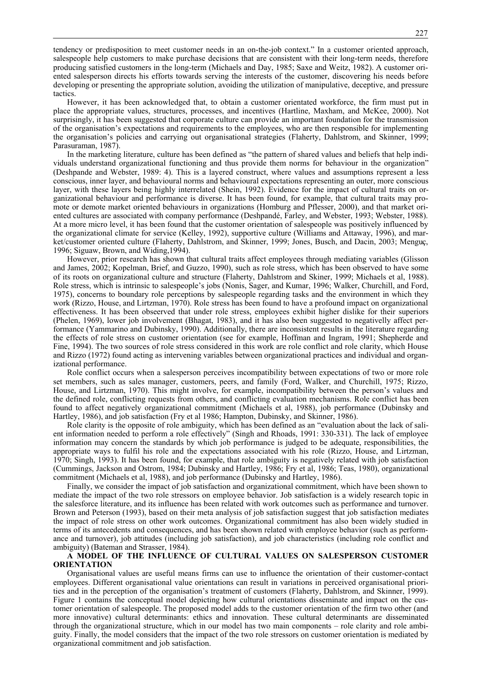tendency or predisposition to meet customer needs in an on-the-job context." In a customer oriented approach, salespeople help customers to make purchase decisions that are consistent with their long-term needs, therefore producing satisfied customers in the long-term (Michaels and Day, 1985; Saxe and Weitz, 1982). A customer oriented salesperson directs his efforts towards serving the interests of the customer, discovering his needs before developing or presenting the appropriate solution, avoiding the utilization of manipulative, deceptive, and pressure tactics.

However, it has been acknowledged that, to obtain a customer orientated workforce, the firm must put in place the appropriate values, structures, processes, and incentives (Hartline, Maxham, and McKee, 2000). Not surprisingly, it has been suggested that corporate culture can provide an important foundation for the transmission of the organisation's expectations and requirements to the employees, who are then responsible for implementing the organisation's policies and carrying out organisational strategies (Flaherty, Dahlstrom, and Skinner, 1999; Parasuraman, 1987).

In the marketing literature, culture has been defined as "the pattern of shared values and beliefs that help individuals understand organizational functioning and thus provide them norms for behaviour in the organization" (Deshpande and Webster, 1989: 4). This is a layered construct, where values and assumptions represent a less conscious, inner layer, and behavioural norms and behavioural expectations representing an outer, more conscious layer, with these layers being highly interrelated (Shein, 1992). Evidence for the impact of cultural traits on organizational behaviour and performance is diverse. It has been found, for example, that cultural traits may promote or demote market oriented behaviours in organizations (Homburg and Pflesser, 2000), and that market oriented cultures are associated with company performance (Deshpandé, Farley, and Webster, 1993; Webster, 1988). At a more micro level, it has been found that the customer orientation of salespeople was positively influenced by the organizational climate for service (Kelley, 1992), supportive culture (Williams and Attaway, 1996), and market/customer oriented culture (Flaherty, Dahlstrom, and Skinner, 1999; Jones, Busch, and Dacin, 2003; Menguç, 1996; Siguaw, Brown, and Widing,1994).

However, prior research has shown that cultural traits affect employees through mediating variables (Glisson and James, 2002; Kopelman, Brief, and Guzzo, 1990), such as role stress, which has been observed to have some of its roots on organizational culture and structure (Flaherty, Dahlstrom and Skiner, 1999; Michaels et al, 1988). Role stress, which is intrinsic to salespeople's jobs (Nonis, Sager, and Kumar, 1996; Walker, Churchill, and Ford, 1975), concerns to boundary role perceptions by salespeople regarding tasks and the environment in which they work (Rizzo, House, and Lirtzman, 1970). Role stress has been found to have a profound impact on organizational effectiveness. It has been obseerved that under role stress, employees exhibit higher dislike for their superiors (Phelen, 1969), lower job involvement (Bhagat, 1983), and it has also been suggested to negativelly affect performance (Yammarino and Dubinsky, 1990). Additionally, there are inconsistent results in the literature regarding the effects of role stress on customer orientation (see for example, Hoffman and Ingram, 1991; Shepherde and Fine, 1994). The two sources of role stress considered in this work are role conflict and role clarity, which House and Rizzo (1972) found acting as intervening variables between organizational practices and individual and organizational performance.

Role conflict occurs when a salesperson perceives incompatibility between expectations of two or more role set members, such as sales manager, customers, peers, and family (Ford, Walker, and Churchill, 1975; Rizzo, House, and Lirtzman, 1970). This might involve, for example, incompatibility between the person's values and the defined role, conflicting requests from others, and conflicting evaluation mechanisms. Role conflict has been found to affect negatively organizational commitment (Michaels et al, 1988), job performance (Dubinsky and Hartley, 1986), and job satisfaction (Fry et al 1986; Hampton, Dubinsky, and Skinner, 1986).

Role clarity is the opposite of role ambiguity, which has been defined as an "evaluation about the lack of salient information needed to perform a role effectively" (Singh and Rhoads, 1991: 330-331). The lack of employee information may concern the standards by which job performance is judged to be adequate, responsibilities, the appropriate ways to fulfil his role and the expectations associated with his role (Rizzo, House, and Lirtzman, 1970; Singh, 1993). It has been found, for example, that role ambiguity is negatively related with job satisfaction (Cummings, Jackson and Ostrom, 1984; Dubinsky and Hartley, 1986; Fry et al, 1986; Teas, 1980), organizational commitment (Michaels et al, 1988), and job performance (Dubinsky and Hartley, 1986).

Finally, we consider the impact of job satisfaction and organizational commitment, which have been shown to mediate the impact of the two role stressors on employee behavior. Job satisfaction is a widely research topic in the salesforce literature, and its influence has been related with work outcomes such as performance and turnover. Brown and Peterson (1993), based on their meta analysis of job satisfaction suggest that job satisfaction mediates the impact of role stress on other work outcomes. Organizational commitment has also been widely studied in terms of its antecedents and consequences, and has been shown related with employee behavior (such as performance and turnover), job attitudes (including job satisfaction), and job characteristics (including role conflict and ambiguity) (Bateman and Strasser, 1984).

## **A MODEL OF THE INFLUENCE OF CULTURAL VALUES ON SALESPERSON CUSTOMER ORIENTATION**

Organisational values are useful means firms can use to influence the orientation of their customer-contact employees. Different organisational value orientations can result in variations in perceived organisational priorities and in the perception of the organisation's treatment of customers (Flaherty, Dahlstrom, and Skinner, 1999). Figure 1 contains the conceptual model depicting how cultural orientations disseminate and impact on the customer orientation of salespeople. The proposed model adds to the customer orientation of the firm two other (and more innovative) cultural determinants: ethics and innovation. These cultural determinants are disseminated through the organizational structure, which in our model has two main components – role clarity and role ambiguity. Finally, the model considers that the impact of the two role stressors on customer orientation is mediated by organizational commitment and job satisfaction.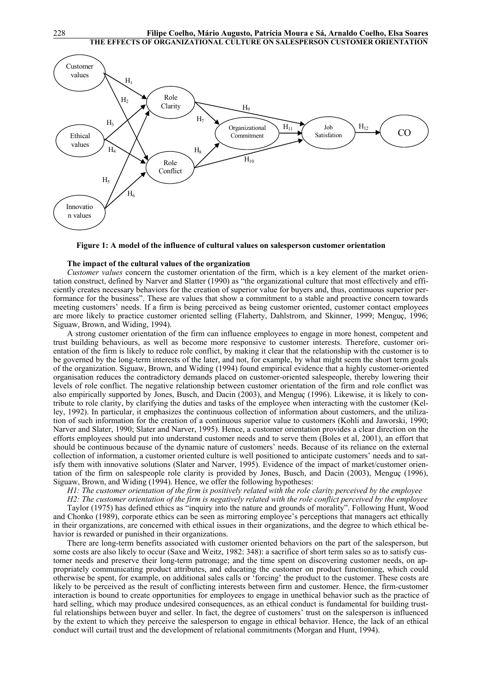

**Figure 1: A model of the influence of cultural values on salesperson customer orientation** 

# **The impact of the cultural values of the organization**

*Customer values* concern the customer orientation of the firm, which is a key element of the market orientation construct, defined by Narver and Slatter (1990) as "the organizational culture that most effectively and efficiently creates necessary behaviors for the creation of superior value for buyers and, thus, continuous superior performance for the business". These are values that show a commitment to a stable and proactive concern towards meeting customers' needs. If a firm is being perceived as being customer oriented, customer contact employees are more likely to practice customer oriented selling (Flaherty, Dahlstrom, and Skinner, 1999; Menguç, 1996; Siguaw, Brown, and Widing, 1994).

A strong customer orientation of the firm can influence employees to engage in more honest, competent and trust building behaviours, as well as become more responsive to customer interests. Therefore, customer orientation of the firm is likely to reduce role conflict, by making it clear that the relationship with the customer is to be governed by the long-term interests of the later, and not, for example, by what might seem the short term goals of the organization. Siguaw, Brown, and Widing (1994) found empirical evidence that a highly customer-oriented organisation reduces the contradictory demands placed on customer-oriented salespeople, thereby lowering their levels of role conflict. The negative relationship between customer orientation of the firm and role conflict was also empirically supported by Jones, Busch, and Dacin (2003), and Menguç (1996). Likewise, it is likely to contribute to role clarity, by clarifying the duties and tasks of the employee when interacting with the customer (Kelley, 1992). In particular, it emphasizes the continuous collection of information about customers, and the utilization of such information for the creation of a continuous superior value to customers (Kohli and Jaworski, 1990; Narver and Slater, 1990; Slater and Narver, 1995). Hence, a customer orientation provides a clear direction on the efforts employees should put into understand customer needs and to serve them (Boles et al, 2001), an effort that should be continuous because of the dynamic nature of customers' needs. Because of its reliance on the external collection of information, a customer oriented culture is well positioned to anticipate customers' needs and to satisfy them with innovative solutions (Slater and Narver, 1995). Evidence of the impact of market/customer orientation of the firm on salespeople role clarity is provided by Jones, Busch, and Dacin (2003), Menguç (1996), Siguaw, Brown, and Widing (1994). Hence, we offer the following hypotheses:

*H1: The customer orientation of the firm is positively related with the role clarity perceived by the employee* 

*H2: The customer orientation of the firm is negatively related with the role conflict perceived by the employee* 

Taylor (1975) has defined ethics as "inquiry into the nature and grounds of morality". Following Hunt, Wood and Chonko (1989), corporate ethics can be seen as mirroring employee's perceptions that managers act ethically in their organizations, are concerned with ethical issues in their organizations, and the degree to which ethical behavior is rewarded or punished in their organizations.

There are long-term benefits associated with customer oriented behaviors on the part of the salesperson, but some costs are also likely to occur (Saxe and Weitz, 1982: 348): a sacrifice of short term sales so as to satisfy customer needs and preserve their long-term patronage; and the time spent on discovering customer needs, on appropriately communicating product attributes, and educating the customer on product functioning, which could otherwise be spent, for example, on additional sales calls or 'forcing' the product to the customer. These costs are likely to be perceived as the result of conflicting interests between firm and customer. Hence, the firm-customer interaction is bound to create opportunities for employees to engage in unethical behavior such as the practice of hard selling, which may produce undesired consequences, as an ethical conduct is fundamental for building trustful relationships between buyer and seller. In fact, the degree of customers' trust on the salesperson is influenced by the extent to which they perceive the salesperson to engage in ethical behavior. Hence, the lack of an ethical conduct will curtail trust and the development of relational commitments (Morgan and Hunt, 1994).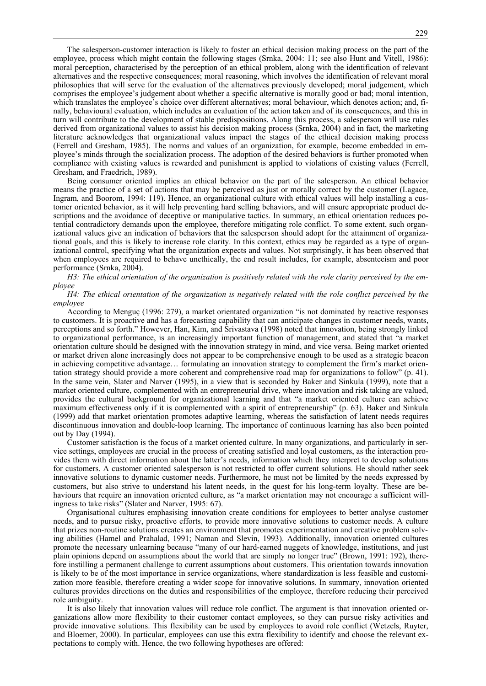The salesperson-customer interaction is likely to foster an ethical decision making process on the part of the employee, process which might contain the following stages (Srnka, 2004: 11; see also Hunt and Vitell, 1986): moral perception, characterised by the perception of an ethical problem, along with the identification of relevant alternatives and the respective consequences; moral reasoning, which involves the identification of relevant moral philosophies that will serve for the evaluation of the alternatives previously developed; moral judgement, which comprises the employee's judgement about whether a specific alternative is morally good or bad; moral intention, which translates the employee's choice over different alternatives; moral behaviour, which denotes action; and, finally, behavioural evaluation, which includes an evaluation of the action taken and of its consequences, and this in turn will contribute to the development of stable predispositions. Along this process, a salesperson will use rules derived from organizational values to assist his decision making process (Srnka, 2004) and in fact, the marketing literature acknowledges that organizational values impact the stages of the ethical decision making process (Ferrell and Gresham, 1985). The norms and values of an organization, for example, become embedded in employee's minds through the socialization process. The adoption of the desired behaviors is further promoted when compliance with existing values is rewarded and punishment is applied to violations of existing values (Ferrell, Gresham, and Fraedrich, 1989).

Being consumer oriented implies an ethical behavior on the part of the salesperson. An ethical behavior means the practice of a set of actions that may be perceived as just or morally correct by the customer (Lagace, Ingram, and Boorom, 1994: 119). Hence, an organizational culture with ethical values will help installing a customer oriented behavior, as it will help preventing hard selling behaviors, and will ensure appropriate product descriptions and the avoidance of deceptive or manipulative tactics. In summary, an ethical orientation reduces potential contradictory demands upon the employee, therefore mitigating role conflict. To some extent, such organizational values give an indication of behaviors that the salesperson should adopt for the attainment of organizational goals, and this is likely to increase role clarity. In this context, ethics may be regarded as a type of organizational control, specifying what the organization expects and values. Not surprisingly, it has been observed that when employees are required to behave unethically, the end result includes, for example, absenteeism and poor performance (Srnka, 2004).

H3: The ethical orientation of the organization is positively related with the role clarity perceived by the em*ployee* 

# H4: The ethical orientation of the organization is negatively related with the role conflict perceived by the *employee*

According to Menguç (1996: 279), a market orientated organization "is not dominated by reactive responses to customers. It is proactive and has a forecasting capability that can anticipate changes in customer needs, wants, perceptions and so forth." However, Han, Kim, and Srivastava (1998) noted that innovation, being strongly linked to organizational performance, is an increasingly important function of management, and stated that "a market orientation culture should be designed with the innovation strategy in mind, and vice versa. Being market oriented or market driven alone increasingly does not appear to be comprehensive enough to be used as a strategic beacon in achieving competitive advantage… formulating an innovation strategy to complement the firm's market orientation strategy should provide a more coherent and comprehensive road map for organizations to follow" (p. 41). In the same vein, Slater and Narver (1995), in a view that is seconded by Baker and Sinkula (1999), note that a market oriented culture, complemented with an entrepreneurial drive, where innovation and risk taking are valued, provides the cultural background for organizational learning and that "a market oriented culture can achieve maximum effectiveness only if it is complemented with a spirit of entrepreneurship" (p. 63). Baker and Sinkula (1999) add that market orientation promotes adaptive learning, whereas the satisfaction of latent needs requires discontinuous innovation and double-loop learning. The importance of continuous learning has also been pointed out by Day (1994).

Customer satisfaction is the focus of a market oriented culture. In many organizations, and particularly in service settings, employees are crucial in the process of creating satisfied and loyal customers, as the interaction provides them with direct information about the latter's needs, information which they interpret to develop solutions for customers. A customer oriented salesperson is not restricted to offer current solutions. He should rather seek innovative solutions to dynamic customer needs. Furthermore, he must not be limited by the needs expressed by customers, but also strive to understand his latent needs, in the quest for his long-term loyalty. These are behaviours that require an innovation oriented culture, as "a market orientation may not encourage a sufficient willingness to take risks" (Slater and Narver, 1995: 67).

Organisational cultures emphasising innovation create conditions for employees to better analyse customer needs, and to pursue risky, proactive efforts, to provide more innovative solutions to customer needs. A culture that prizes non-routine solutions creates an environment that promotes experimentation and creative problem solving abilities (Hamel and Prahalad, 1991; Naman and Slevin, 1993). Additionally, innovation oriented cultures promote the necessary unlearning because "many of our hard-earned nuggets of knowledge, institutions, and just plain opinions depend on assumptions about the world that are simply no longer true" (Brown, 1991: 192), therefore instilling a permanent challenge to current assumptions about customers. This orientation towards innovation is likely to be of the most importance in service organizations, where standardization is less feasible and customization more feasible, therefore creating a wider scope for innovative solutions. In summary, innovation oriented cultures provides directions on the duties and responsibilities of the employee, therefore reducing their perceived role ambiguity.

It is also likely that innovation values will reduce role conflict. The argument is that innovation oriented organizations allow more flexibility to their customer contact employees, so they can pursue risky activities and provide innovative solutions. This flexibility can be used by employees to avoid role conflict (Wetzels, Ruyter, and Bloemer, 2000). In particular, employees can use this extra flexibility to identify and choose the relevant expectations to comply with. Hence, the two following hypotheses are offered: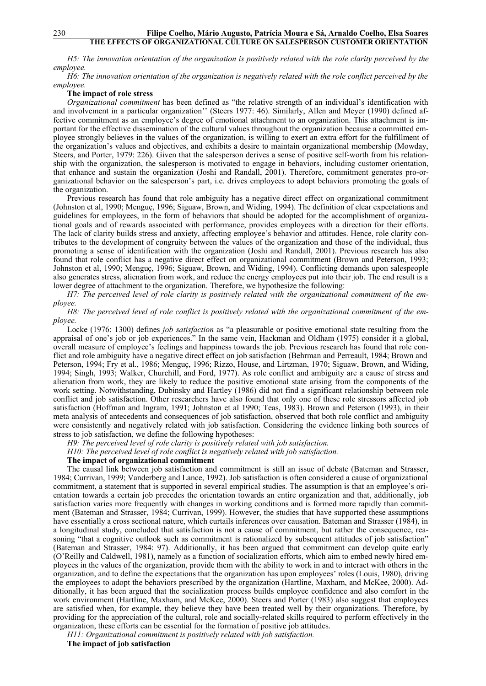H5: The innovation orientation of the organization is positively related with the role clarity perceived by the *employee.* 

*H6: The innovation orientation of the organization is negatively related with the role conflict perceived by the employee.* 

## **The impact of role stress**

*Organizational commitment* has been defined as "the relative strength of an individual's identification with and involvement in a particular organization'' (Steers 1977: 46). Similarly, Allen and Meyer (1990) defined affective commitment as an employee's degree of emotional attachment to an organization. This attachment is important for the effective dissemination of the cultural values throughout the organization because a committed employee strongly believes in the values of the organization, is willing to exert an extra effort for the fulfillment of the organization's values and objectives, and exhibits a desire to maintain organizational membership (Mowday, Steers, and Porter, 1979: 226). Given that the salesperson derives a sense of positive self-worth from his relationship with the organization, the salesperson is motivated to engage in behaviors, including customer orientation, that enhance and sustain the organization (Joshi and Randall, 2001). Therefore, commitment generates pro-organizational behavior on the salesperson's part, i.e. drives employees to adopt behaviors promoting the goals of the organization.

Previous research has found that role ambiguity has a negative direct effect on organizational commitment (Johnston et al, 1990; Menguç, 1996; Siguaw, Brown, and Widing, 1994). The definition of clear expectations and guidelines for employees, in the form of behaviors that should be adopted for the accomplishment of organizational goals and of rewards associated with performance, provides employees with a direction for their efforts. The lack of clarity builds stress and anxiety, affecting employee's behavior and attitudes. Hence, role clarity contributes to the development of congruity between the values of the organization and those of the individual, thus promoting a sense of identification with the organization (Joshi and Randall, 2001). Previous research has also found that role conflict has a negative direct effect on organizational commitment (Brown and Peterson, 1993; Johnston et al, 1990; Menguç, 1996; Siguaw, Brown, and Widing, 1994). Conflicting demands upon salespeople also generates stress, alienation from work, and reduce the energy employees put into their job. The end result is a lower degree of attachment to the organization. Therefore, we hypothesize the following:

H7: The perceived level of role clarity is positively related with the organizational commitment of the em*ployee.* 

H8: The perceived level of role conflict is positively related with the organizational commitment of the em*ployee.* 

Locke (1976: 1300) defines *job satisfaction* as "a pleasurable or positive emotional state resulting from the appraisal of one's job or job experiences." In the same vein, Hackman and Oldham (1975) consider it a global, overall measure of employee's feelings and happiness towards the job. Previous research has found that role conflict and role ambiguity have a negative direct effect on job satisfaction (Behrman and Perreault, 1984; Brown and Peterson, 1994; Fry et al., 1986; Menguç, 1996; Rizzo, House, and Lirtzman, 1970; Siguaw, Brown, and Widing, 1994; Singh, 1993; Walker, Churchill, and Ford, 1977). As role conflict and ambiguity are a cause of stress and alienation from work, they are likely to reduce the positive emotional state arising from the components of the work setting. Notwithstanding, Dubinsky and Hartley (1986) did not find a significant relationship between role conflict and job satisfaction. Other researchers have also found that only one of these role stressors affected job satisfaction (Hoffman and Ingram, 1991; Johnston et al 1990; Teas, 1983). Brown and Peterson (1993), in their meta analysis of antecedents and consequences of job satisfaction, observed that both role conflict and ambiguity were consistently and negatively related with job satisfaction. Considering the evidence linking both sources of stress to job satisfaction, we define the following hypotheses:

*H9: The perceived level of role clarity is positively related with job satisfaction.* 

*H10: The perceived level of role conflict is negatively related with job satisfaction.* 

### **The impact of organizational commitment**

The causal link between job satisfaction and commitment is still an issue of debate (Bateman and Strasser, 1984; Currivan, 1999; Vanderberg and Lance, 1992). Job satisfaction is often considered a cause of organizational commitment, a statement that is supported in several empirical studies. The assumption is that an employee's orientation towards a certain job precedes the orientation towards an entire organization and that, additionally, job satisfaction varies more frequently with changes in working conditions and is formed more rapidly than commitment (Bateman and Strasser, 1984; Currivan, 1999). However, the studies that have supported these assumptions have essentially a cross sectional nature, which curtails inferences over causation. Bateman and Strasser (1984), in a longitudinal study, concluded that satisfaction is not a cause of commitment, but rather the consequence, reasoning "that a cognitive outlook such as commitment is rationalized by subsequent attitudes of job satisfaction" (Bateman and Strasser, 1984: 97). Additionally, it has been argued that commitment can develop quite early (O'Reilly and Caldwell, 1981), namely as a function of socialization efforts, which aim to embed newly hired employees in the values of the organization, provide them with the ability to work in and to interact with others in the organization, and to define the expectations that the organization has upon employees' roles (Louis, 1980), driving the employees to adopt the behaviors prescribed by the organization (Hartline, Maxham, and McKee, 2000). Additionally, it has been argued that the socialization process builds employee confidence and also comfort in the work environment (Hartline, Maxham, and McKee, 2000). Steers and Porter (1983) also suggest that employees are satisfied when, for example, they believe they have been treated well by their organizations. Therefore, by providing for the appreciation of the cultural, role and socially-related skills required to perform effectively in the organization, these efforts can be essential for the formation of positive job attitudes.

*H11: Organizational commitment is positively related with job satisfaction.* 

**The impact of job satisfaction**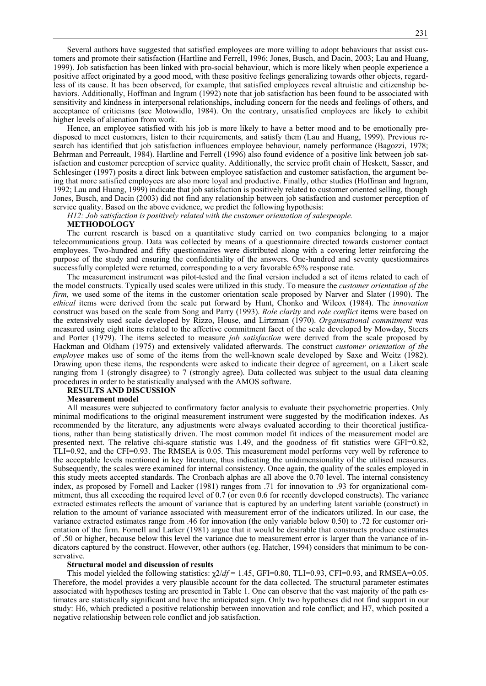Several authors have suggested that satisfied employees are more willing to adopt behaviours that assist customers and promote their satisfaction (Hartline and Ferrell, 1996; Jones, Busch, and Dacin, 2003; Lau and Huang, 1999). Job satisfaction has been linked with pro-social behaviour, which is more likely when people experience a positive affect originated by a good mood, with these positive feelings generalizing towards other objects, regardless of its cause. It has been observed, for example, that satisfied employees reveal altruistic and citizenship behaviors. Additionally, Hoffman and Ingram (1992) note that job satisfaction has been found to be associated with sensitivity and kindness in interpersonal relationships, including concern for the needs and feelings of others, and acceptance of criticisms (see Motowidlo, 1984). On the contrary, unsatisfied employees are likely to exhibit higher levels of alienation from work.

Hence, an employee satisfied with his job is more likely to have a better mood and to be emotionally predisposed to meet customers, listen to their requirements, and satisfy them (Lau and Huang, 1999). Previous research has identified that job satisfaction influences employee behaviour, namely performance (Bagozzi, 1978; Behrman and Perreault, 1984). Hartline and Ferrell (1996) also found evidence of a positive link between job satisfaction and customer perception of service quality. Additionally, the service profit chain of Heskett, Sasser, and Schlesinger (1997) posits a direct link between employee satisfaction and customer satisfaction, the argument being that more satisfied employees are also more loyal and productive. Finally, other studies (Hoffman and Ingram, 1992; Lau and Huang, 1999) indicate that job satisfaction is positively related to customer oriented selling, though Jones, Busch, and Dacin (2003) did not find any relationship between job satisfaction and customer perception of service quality. Based on the above evidence, we predict the following hypothesis:

*H12: Job satisfaction is positively related with the customer orientation of salespeople.* 

## **METHODOLOGY**

The current research is based on a quantitative study carried on two companies belonging to a major telecommunications group. Data was collected by means of a questionnaire directed towards customer contact employees. Two-hundred and fifty questionnaires were distributed along with a covering letter reinforcing the purpose of the study and ensuring the confidentiality of the answers. One-hundred and seventy questionnaires successfully completed were returned, corresponding to a very favorable 65% response rate.

The measurement instrument was pilot-tested and the final version included a set of items related to each of the model constructs. Typically used scales were utilized in this study. To measure the *customer orientation of the firm*, we used some of the items in the customer orientation scale proposed by Narver and Slater (1990). The *ethical* items were derived from the scale put forward by Hunt, Chonko and Wilcox (1984). The *innovation*  construct was based on the scale from Song and Parry (1993). *Role clarity* and *role conflict* items were based on the extensively used scale developed by Rizzo, House, and Lirtzman (1970). *Organisational commitment* was measured using eight items related to the affective commitment facet of the scale developed by Mowday, Steers and Porter (1979). The items selected to measure *job satisfaction* were derived from the scale proposed by Hackman and Oldham (1975) and extensively validated afterwards. The construct *customer orientation of the employee* makes use of some of the items from the well-known scale developed by Saxe and Weitz (1982). Drawing upon these items, the respondents were asked to indicate their degree of agreement, on a Likert scale ranging from 1 (strongly disagree) to 7 (strongly agree). Data collected was subject to the usual data cleaning procedures in order to be statistically analysed with the AMOS software.

## **RESULTS AND DISCUSSION**

### **Measurement model**

All measures were subjected to confirmatory factor analysis to evaluate their psychometric properties. Only minimal modifications to the original measurement instrument were suggested by the modification indexes. As recommended by the literature, any adjustments were always evaluated according to their theoretical justifications, rather than being statistically driven. The most common model fit indices of the measurement model are presented next. The relative chi-square statistic was 1.49, and the goodness of fit statistics were GFI=0.82, TLI=0.92, and the CFI=0.93. The RMSEA is 0.05. This measurement model performs very well by reference to the acceptable levels mentioned in key literature, thus indicating the unidimensionality of the utilised measures. Subsequently, the scales were examined for internal consistency. Once again, the quality of the scales employed in this study meets accepted standards. The Cronbach alphas are all above the 0.70 level. The internal consistency index, as proposed by Fornell and Lacker (1981) ranges from .71 for innovation to .93 for organizational commitment, thus all exceeding the required level of 0.7 (or even 0.6 for recently developed constructs). The variance extracted estimates reflects the amount of variance that is captured by an underling latent variable (construct) in relation to the amount of variance associated with measurement error of the indicators utilized. In our case, the variance extracted estimates range from .46 for innovation (the only variable below 0.50) to .72 for customer orientation of the firm. Fornell and Larker (1981) argue that it would be desirable that constructs produce estimates of .50 or higher, because below this level the variance due to measurement error is larger than the variance of indicators captured by the construct. However, other authors (eg. Hatcher, 1994) considers that minimum to be conservative.

#### **Structural model and discussion of results**

This model yielded the following statistics:  $\chi$ 2/*df* = 1.45, GFI=0.80, TLI=0.93, CFI=0.93, and RMSEA=0.05. Therefore, the model provides a very plausible account for the data collected. The structural parameter estimates associated with hypotheses testing are presented in Table 1. One can observe that the vast majority of the path estimates are statistically significant and have the anticipated sign. Only two hypotheses did not find support in our study: H6, which predicted a positive relationship between innovation and role conflict; and H7, which posited a negative relationship between role conflict and job satisfaction.